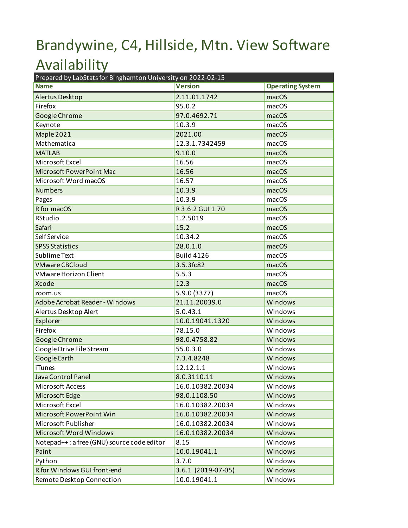## Brandywine, C4, Hillside, Mtn. View Software Availability

| Prepared by LabStats for Binghamton University on 2022-02-15 |                    |                         |  |
|--------------------------------------------------------------|--------------------|-------------------------|--|
| <b>Name</b>                                                  | <b>Version</b>     | <b>Operating System</b> |  |
| Alertus Desktop                                              | 2.11.01.1742       | macOS                   |  |
| Firefox                                                      | 95.0.2             | macOS                   |  |
| Google Chrome                                                | 97.0.4692.71       | macOS                   |  |
| Keynote                                                      | 10.3.9             | macOS                   |  |
| Maple 2021                                                   | 2021.00            | macOS                   |  |
| Mathematica                                                  | 12.3.1.7342459     | macOS                   |  |
| <b>MATLAB</b>                                                | 9.10.0             | macOS                   |  |
| Microsoft Excel                                              | 16.56              | macOS                   |  |
| Microsoft PowerPoint Mac                                     | 16.56              | macOS                   |  |
| Microsoft Word macOS                                         | 16.57              | macOS                   |  |
| <b>Numbers</b>                                               | 10.3.9             | macOS                   |  |
| Pages                                                        | 10.3.9             | macOS                   |  |
| R for macOS                                                  | R 3.6.2 GUI 1.70   | macOS                   |  |
| RStudio                                                      | 1.2.5019           | macOS                   |  |
| Safari                                                       | 15.2               | macOS                   |  |
| Self Service                                                 | 10.34.2            | macOS                   |  |
| <b>SPSS Statistics</b>                                       | 28.0.1.0           | macOS                   |  |
| Sublime Text                                                 | <b>Build 4126</b>  | macOS                   |  |
| <b>VMware CBCloud</b>                                        | 3.5.3fc82          | macOS                   |  |
| <b>VMware Horizon Client</b>                                 | 5.5.3              | macOS                   |  |
| <b>Xcode</b>                                                 | 12.3               | macOS                   |  |
| zoom.us                                                      | 5.9.0 (3377)       | macOS                   |  |
| Adobe Acrobat Reader - Windows                               | 21.11.20039.0      | Windows                 |  |
| Alertus Desktop Alert                                        | 5.0.43.1           | Windows                 |  |
| Explorer                                                     | 10.0.19041.1320    | Windows                 |  |
| Firefox                                                      | 78.15.0            | Windows                 |  |
| Google Chrome                                                | 98.0.4758.82       | Windows                 |  |
| Google Drive File Stream                                     | 55.0.3.0           | Windows                 |  |
| Google Earth                                                 | 7.3.4.8248         | Windows                 |  |
| iTunes                                                       | 12.12.1.1          | Windows                 |  |
| Java Control Panel                                           | 8.0.3110.11        | Windows                 |  |
| <b>Microsoft Access</b>                                      | 16.0.10382.20034   | Windows                 |  |
| Microsoft Edge                                               | 98.0.1108.50       | Windows                 |  |
| Microsoft Excel                                              | 16.0.10382.20034   | Windows                 |  |
| Microsoft PowerPoint Win                                     | 16.0.10382.20034   | Windows                 |  |
| Microsoft Publisher                                          | 16.0.10382.20034   | Windows                 |  |
| Microsoft Word Windows                                       | 16.0.10382.20034   | Windows                 |  |
| Notepad++: a free (GNU) source code editor                   | 8.15               | Windows                 |  |
| Paint                                                        | 10.0.19041.1       | Windows                 |  |
| Python                                                       | 3.7.0              | Windows                 |  |
| R for Windows GUI front-end                                  | 3.6.1 (2019-07-05) | Windows                 |  |
| Remote Desktop Connection                                    | 10.0.19041.1       | Windows                 |  |